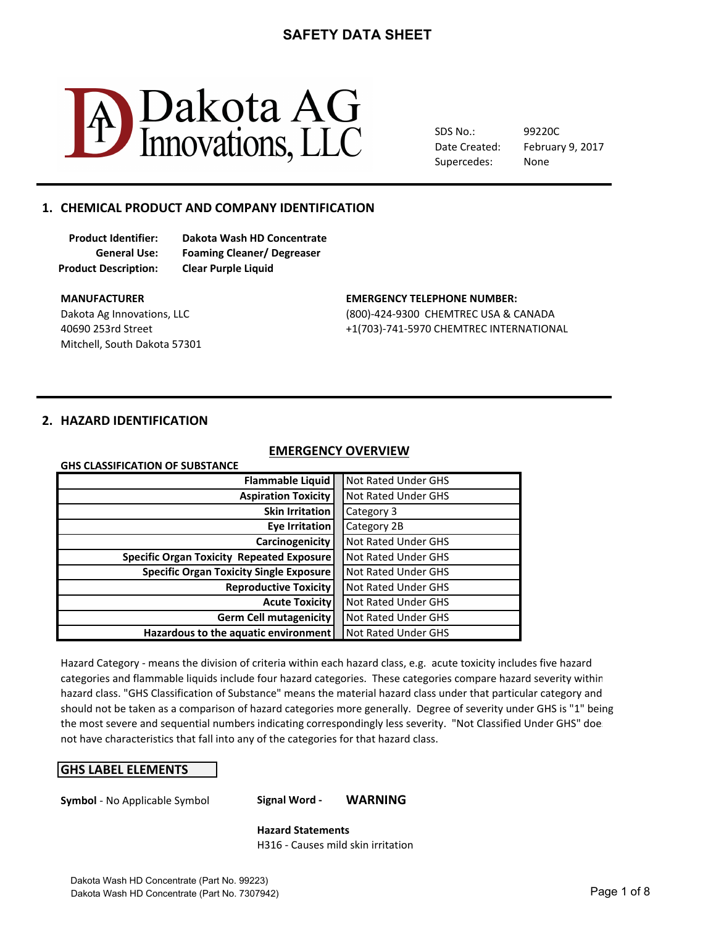

SDS No.: Date Created: Supercedes: 99220C None

# February 9, 2017

### 1. CHEMICAL PRODUCT AND COMPANY IDENTIFICATION

**Product Description: Clear Purple Liquid**

**Product Identifier: Dakota Wash HD Concentrate General Use: Foaming Cleaner/ Degreaser**

Mitchell, South Dakota 57301

#### **MANUFACTURER COMPUTER:** THE SERVICE OF STATE EMERGENCY TELEPHONE NUMBER:

Dakota Ag Innovations, LLC **CHEMTREC USA & CANADA** 40690 253rd Street +1(703)-741-5970 CHEMTREC INTERNATIONAL

#### **2. HAZARD IDENTIFICATION**

**GHS CLASSIFICATION OF SUBSTANCE** 

### **EMERGENCY OVERVIEW**

| <b>Flammable Liquid</b>                          | <b>Not Rated Under GHS</b> |
|--------------------------------------------------|----------------------------|
| <b>Aspiration Toxicity</b>                       | <b>Not Rated Under GHS</b> |
| <b>Skin Irritation</b>                           | Category 3                 |
| Eye Irritation                                   | Category 2B                |
| Carcinogenicity                                  | <b>Not Rated Under GHS</b> |
| <b>Specific Organ Toxicity Repeated Exposure</b> | Not Rated Under GHS        |
| <b>Specific Organ Toxicity Single Exposure</b>   | <b>Not Rated Under GHS</b> |
| <b>Reproductive Toxicity</b>                     | <b>Not Rated Under GHS</b> |
| <b>Acute Toxicity</b>                            | <b>Not Rated Under GHS</b> |
| <b>Germ Cell mutagenicity</b>                    | <b>Not Rated Under GHS</b> |
| Hazardous to the aquatic environment             | <b>Not Rated Under GHS</b> |

Hazard Category - means the division of criteria within each hazard class, e.g. acute toxicity includes five hazard hazard class. "GHS Classification of Substance" means the material hazard class under that particular category and should not be taken as a comparison of hazard categories more generally. Degree of severity under GHS is "1" being not have characteristics that fall into any of the categories for that hazard class. categories and flammable liquids include four hazard categories. These categories compare hazard severity within the most severe and sequential numbers indicating correspondingly less severity. "Not Classified Under GHS" doe

#### **GHS LABEL ELEMENTS**

**Symbol** - No Applicable Symbol **Signal Word - WARNING** 

**Hazard Statements** H316 - Causes mild skin irritation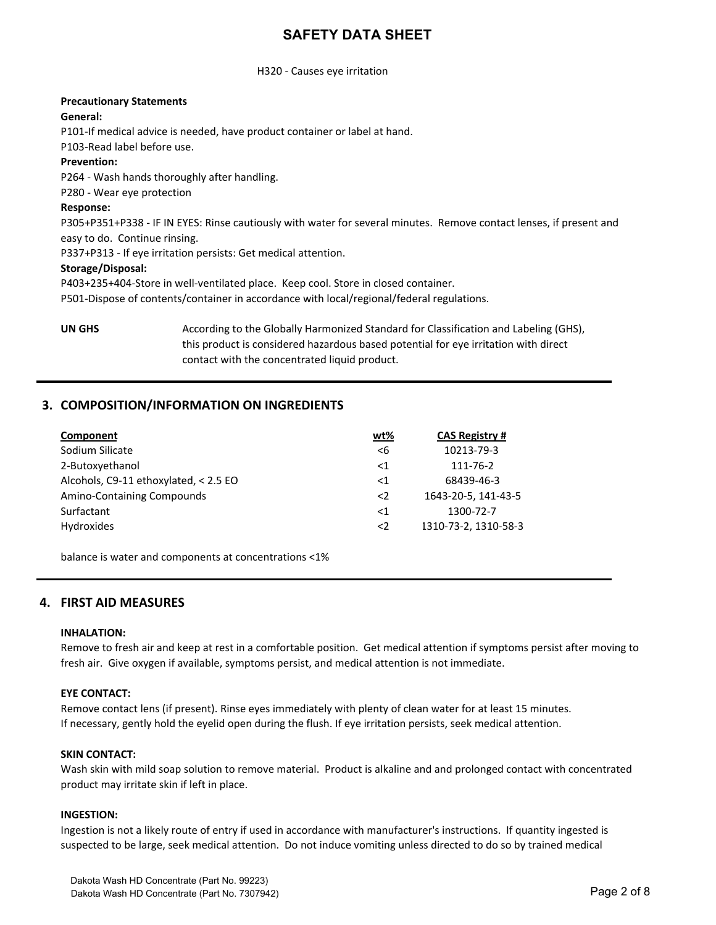#### H320 - Causes eye irritation

#### **Precautionary Statements**

#### **General:**

P101-If medical advice is needed, have product container or label at hand.

P103-Read label before use.

#### **Prevention:**

P264 - Wash hands thoroughly after handling.

P280 - Wear eye protection

#### **Response:**

P305+P351+P338 - IF IN EYES: Rinse cautiously with water for several minutes. Remove contact lenses, if present and easy to do. Continue rinsing.

P337+P313 - If eye irritation persists: Get medical attention.

#### **Storage/Disposal:**

P403+235+404-Store in well-ventilated place. Keep cool. Store in closed container.

P501-Dispose of contents/container in accordance with local/regional/federal regulations.

**UN GHS** According to the Globally Harmonized Standard for Classification and Labeling (GHS), this product is considered hazardous based potential for eye irritation with direct contact with the concentrated liquid product.

### **3. COMPOSITION/INFORMATION ON INGREDIENTS**

| Component                             | wt%         | <b>CAS Registry #</b> |
|---------------------------------------|-------------|-----------------------|
| Sodium Silicate                       | $\leq 6$    | 10213-79-3            |
| 2-Butoxyethanol                       | ${<}1$      | 111-76-2              |
| Alcohols, C9-11 ethoxylated, < 2.5 EO | ${<}1$      | 68439-46-3            |
| <b>Amino-Containing Compounds</b>     | $\langle$ 2 | 1643-20-5, 141-43-5   |
| Surfactant                            | $<$ 1       | 1300-72-7             |
| Hydroxides                            | $\langle$ 2 | 1310-73-2, 1310-58-3  |

balance is water and components at concentrations <1%

#### **4. FIRST AID MEASURES**

#### **INHALATION:**

Remove to fresh air and keep at rest in a comfortable position. Get medical attention if symptoms persist after moving to fresh air. Give oxygen if available, symptoms persist, and medical attention is not immediate.

#### **EYE CONTACT:**

Remove contact lens (if present). Rinse eyes immediately with plenty of clean water for at least 15 minutes. If necessary, gently hold the eyelid open during the flush. If eye irritation persists, seek medical attention.

#### **SKIN CONTACT:**

Wash skin with mild soap solution to remove material. Product is alkaline and and prolonged contact with concentrated product may irritate skin if left in place.

#### **INGESTION:**

Ingestion is not a likely route of entry if used in accordance with manufacturer's instructions. If quantity ingested is suspected to be large, seek medical attention. Do not induce vomiting unless directed to do so by trained medical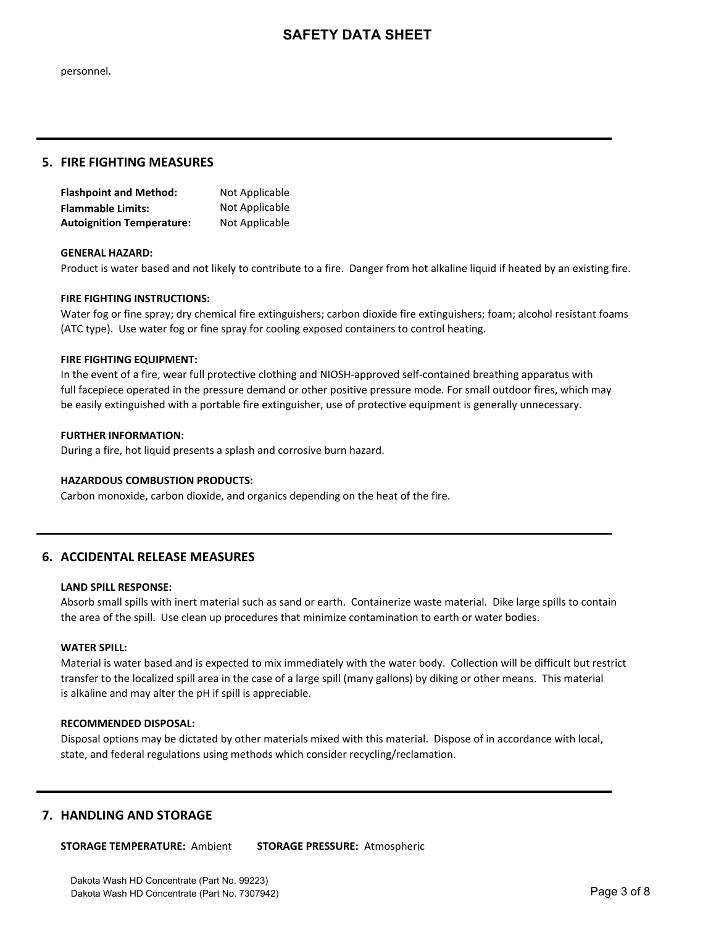personnel.

#### **5. FIRE FIGHTING MEASURES**

| <b>Flashpoint and Method:</b>    | Not Applicable |
|----------------------------------|----------------|
| <b>Flammable Limits:</b>         | Not Applicable |
| <b>Autoignition Temperature:</b> | Not Applicable |

#### **GENERAL HAZARD:**

Product is water based and not likely to contribute to a fire. Danger from hot alkaline liquid if heated by an existing fire.

#### **FIRE FIGHTING INSTRUCTIONS:**

Water fog or fine spray; dry chemical fire extinguishers; carbon dioxide fire extinguishers; foam; alcohol resistant foams (ATC type). Use water fog or fine spray for cooling exposed containers to control heating.

#### **FIRE FIGHTING EQUIPMENT:**

In the event of a fire, wear full protective clothing and NIOSH-approved self-contained breathing apparatus with full facepiece operated in the pressure demand or other positive pressure mode. For small outdoor fires, which may be easily extinguished with a portable fire extinguisher, use of protective equipment is generally unnecessary.

#### **FURTHER INFORMATION:**

During a fire, hot liquid presents a splash and corrosive burn hazard.

#### **HAZARDOUS COMBUSTION PRODUCTS:**

Carbon monoxide, carbon dioxide, and organics depending on the heat of the fire.

#### **6. ACCIDENTAL RELEASE MEASURES**

#### **LAND SPILL RESPONSE:**

Absorb small spills with inert material such as sand or earth. Containerize waste material. Dike large spills to contain the area of the spill. Use clean up procedures that minimize contamination to earth or water bodies.

#### **WATER SPILL:**

Material is water based and is expected to mix immediately with the water body. Collection will be difficult but restrict transfer to the localized spill area in the case of a large spill (many gallons) by diking or other means. This material is alkaline and may alter the pH if spill is appreciable.

#### **RECOMMENDED DISPOSAL:**

Disposal options may be dictated by other materials mixed with this material. Dispose of in accordance with local, state, and federal regulations using methods which consider recycling/reclamation.

#### **7. HANDLING AND STORAGE**

**STORAGE TEMPERATURE: Ambient STORAGE PRESSURE: Atmospheric**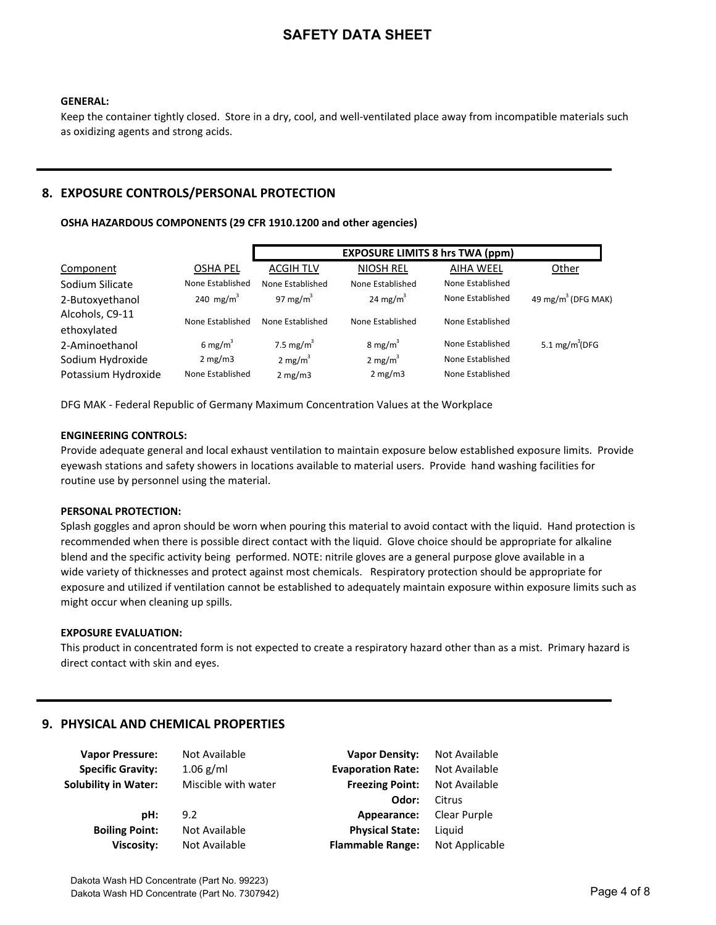#### **GENERAL:**

Keep the container tightly closed. Store in a dry, cool, and well-ventilated place away from incompatible materials such as oxidizing agents and strong acids.

### **8. EXPOSURE CONTROLS/PERSONAL PROTECTION**

#### OSHA HAZARDOUS COMPONENTS (29 CFR 1910.1200 and other agencies)

|                     |                     |                    | <b>EXPOSURE LIMITS 8 hrs TWA (ppm)</b> |                  |                                |
|---------------------|---------------------|--------------------|----------------------------------------|------------------|--------------------------------|
| Component           | <b>OSHA PEL</b>     | <b>ACGIH TLV</b>   | <b>NIOSH REL</b>                       | <b>AIHA WEEL</b> | Other                          |
| Sodium Silicate     | None Established    | None Established   | None Established                       | None Established |                                |
| 2-Butoxyethanol     | 240 mg/ $m^3$       | 97 mg/m $3$        | 24 mg/ $m^3$                           | None Established | 49 mg/m <sup>3</sup> (DFG MAK) |
| Alcohols, C9-11     | None Established    | None Established   | None Established                       | None Established |                                |
| ethoxylated         |                     |                    |                                        |                  |                                |
| 2-Aminoethanol      | 6 mg/m <sup>3</sup> | 7.5 mg/ $m^3$      | 8 mg/m <sup>3</sup>                    | None Established | 5.1 $mg/m^3$ (DFG              |
| Sodium Hydroxide    | 2 mg/m3             | $2 \text{ mg/m}^3$ | 2 mg/ $m^3$                            | None Established |                                |
| Potassium Hydroxide | None Established    | 2 mg/m3            | 2 mg/m3                                | None Established |                                |

DFG MAK - Federal Republic of Germany Maximum Concentration Values at the Workplace

#### **ENGINEERING CONTROLS:**

Provide adequate general and local exhaust ventilation to maintain exposure below established exposure limits. Provide eyewash stations and safety showers in locations available to material users. Provide hand washing facilities for routine use by personnel using the material.

#### **PERSONAL PROTECTION:**

Splash goggles and apron should be worn when pouring this material to avoid contact with the liquid. Hand protection is recommended when there is possible direct contact with the liquid. Glove choice should be appropriate for alkaline blend and the specific activity being performed. NOTE: nitrile gloves are a general purpose glove available in a wide variety of thicknesses and protect against most chemicals. Respiratory protection should be appropriate for exposure and utilized if ventilation cannot be established to adequately maintain exposure within exposure limits such as might occur when cleaning up spills.

#### **EXPOSURE EVALUATION:**

This product in concentrated form is not expected to create a respiratory hazard other than as a mist. Primary hazard is direct contact with skin and eyes.

#### **9. PHYSICAL AND CHEMICAL PROPERTIES**

| <b>Vapor Pressure:</b>      | Not Available       | <b>Vapor Density:</b>    | Not Available  |
|-----------------------------|---------------------|--------------------------|----------------|
| <b>Specific Gravity:</b>    | $1.06$ g/ml         | <b>Evaporation Rate:</b> | Not Available  |
| <b>Solubility in Water:</b> | Miscible with water | <b>Freezing Point:</b>   | Not Available  |
|                             |                     | Odor:                    | Citrus         |
| pH:                         | 9.2                 | Appearance:              | Clear Purple   |
| <b>Boiling Point:</b>       | Not Available       | <b>Physical State:</b>   | Liauid         |
| <b>Viscosity:</b>           | Not Available       | <b>Flammable Range:</b>  | Not Applicable |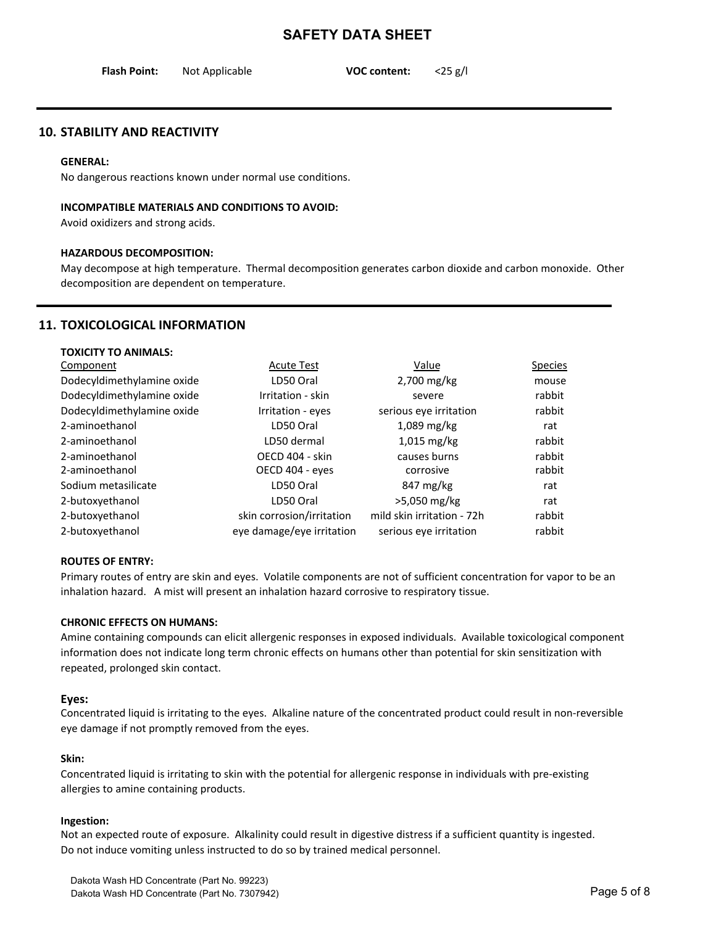| <b>Flash Point:</b> | Not Applicable | <b>VOC content:</b> | $<$ 25 g/l |
|---------------------|----------------|---------------------|------------|
|                     |                |                     |            |

#### **10. STABILITY AND REACTIVITY**

#### **GENERAL:**

No dangerous reactions known under normal use conditions.

#### **INCOMPATIBLE MATERIALS AND CONDITIONS TO AVOID:**

Avoid oxidizers and strong acids.

#### **HAZARDOUS DECOMPOSITION:**

May decompose at high temperature. Thermal decomposition generates carbon dioxide and carbon monoxide. Other decomposition are dependent on temperature.

#### **11. TOXICOLOGICAL INFORMATION**

| <b>TOXICITY TO ANIMALS:</b> |                           |                            |                |
|-----------------------------|---------------------------|----------------------------|----------------|
| Component                   | <b>Acute Test</b>         | Value                      | <b>Species</b> |
| Dodecyldimethylamine oxide  | LD50 Oral                 | 2,700 mg/kg                | mouse          |
| Dodecyldimethylamine oxide  | Irritation - skin         | severe                     | rabbit         |
| Dodecyldimethylamine oxide  | Irritation - eyes         | serious eye irritation     | rabbit         |
| 2-aminoethanol              | LD50 Oral                 | $1,089$ mg/kg              | rat            |
| 2-aminoethanol              | LD50 dermal               | $1,015$ mg/kg              | rabbit         |
| 2-aminoethanol              | OECD 404 - skin           | causes burns               | rabbit         |
| 2-aminoethanol              | OECD 404 - eyes           | corrosive                  | rabbit         |
| Sodium metasilicate         | LD50 Oral                 | 847 mg/kg                  | rat            |
| 2-butoxyethanol             | LD50 Oral                 | >5,050 mg/kg               | rat            |
| 2-butoxyethanol             | skin corrosion/irritation | mild skin irritation - 72h | rabbit         |
| 2-butoxyethanol             | eye damage/eye irritation | serious eye irritation     | rabbit         |

#### **ROUTES OF ENTRY:**

Primary routes of entry are skin and eyes. Volatile components are not of sufficient concentration for vapor to be an inhalation hazard. A mist will present an inhalation hazard corrosive to respiratory tissue.

#### **CHRONIC EFFECTS ON HUMANS:**

Amine containing compounds can elicit allergenic responses in exposed individuals. Available toxicological component information does not indicate long term chronic effects on humans other than potential for skin sensitization with repeated, prolonged skin contact.

#### Eyes:

Concentrated liquid is irritating to the eyes. Alkaline nature of the concentrated product could result in non-reversible eye damage if not promptly removed from the eyes.

#### **Skin:**

Concentrated liquid is irritating to skin with the potential for allergenic response in individuals with pre-existing allergies to amine containing products.

#### **Ingestion:**

Not an expected route of exposure. Alkalinity could result in digestive distress if a sufficient quantity is ingested. Do not induce vomiting unless instructed to do so by trained medical personnel.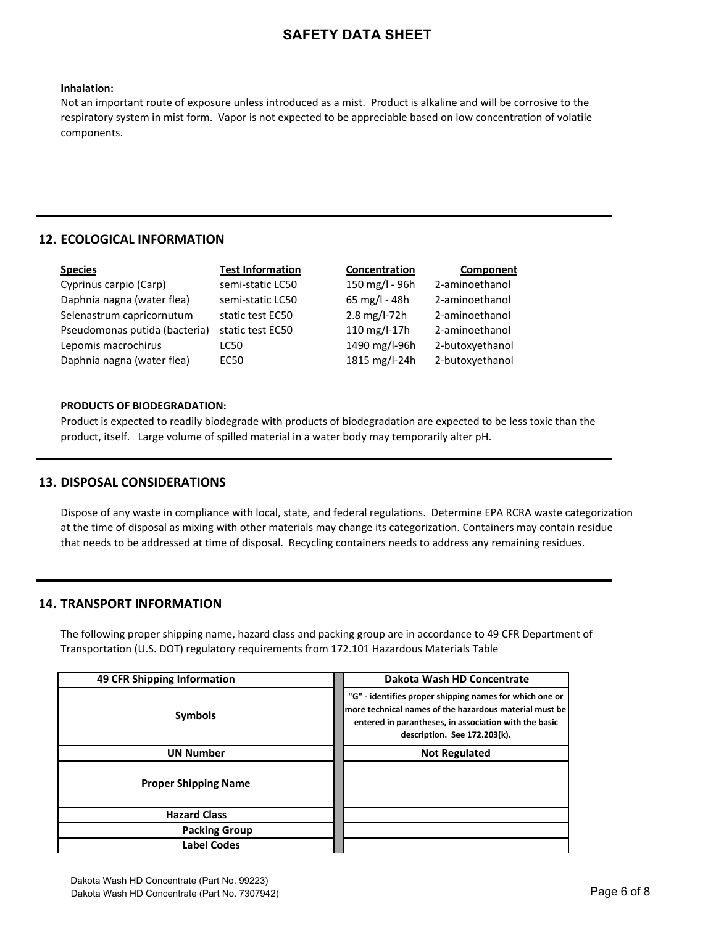#### **Inhalation:**

Not an important route of exposure unless introduced as a mist. Product is alkaline and will be corrosive to the respiratory system in mist form. Vapor is not expected to be appreciable based on low concentration of volatile components.

#### **12. ECOLOGICAL INFORMATION**

| <u>Species</u>                | <b>Test Information</b> | Concentration            | Component       |
|-------------------------------|-------------------------|--------------------------|-----------------|
| Cyprinus carpio (Carp)        | semi-static LC50        | 150 mg/l - 96h           | 2-aminoethanol  |
| Daphnia nagna (water flea)    | semi-static LC50        | 65 mg/l - 48h            | 2-aminoethanol  |
| Selenastrum capricornutum     | static test EC50        | $2.8 \text{ mg/l} - 72h$ | 2-aminoethanol  |
| Pseudomonas putida (bacteria) | static test EC50        | 110 mg/l-17h             | 2-aminoethanol  |
| Lepomis macrochirus           | LC50                    | 1490 mg/l-96h            | 2-butoxyethanol |
| Daphnia nagna (water flea)    | EC50                    | 1815 mg/l-24h            | 2-butoxyethanol |
|                               |                         |                          |                 |

#### **PRODUCTS OF BIODEGRADATION:**

Product is expected to readily biodegrade with products of biodegradation are expected to be less toxic than the product, itself. Large volume of spilled material in a water body may temporarily alter pH.

#### **13. DISPOSAL CONSIDERATIONS**

Dispose of any waste in compliance with local, state, and federal regulations. Determine EPA RCRA waste categorization at the time of disposal as mixing with other materials may change its categorization. Containers may contain residue that needs to be addressed at time of disposal. Recycling containers needs to address any remaining residues.

#### **14. TRANSPORT INFORMATION**

The following proper shipping name, hazard class and packing group are in accordance to 49 CFR Department of Transportation (U.S. DOT) regulatory requirements from 172.101 Hazardous Materials Table

| 49 CFR Shipping Information | Dakota Wash HD Concentrate                                                                                                                                                                                 |
|-----------------------------|------------------------------------------------------------------------------------------------------------------------------------------------------------------------------------------------------------|
| <b>Symbols</b>              | "G" - identifies proper shipping names for which one or<br>more technical names of the hazardous material must be<br>entered in parantheses, in association with the basic<br>description. See 172.203(k). |
| <b>UN Number</b>            | <b>Not Regulated</b>                                                                                                                                                                                       |
| <b>Proper Shipping Name</b> |                                                                                                                                                                                                            |
| <b>Hazard Class</b>         |                                                                                                                                                                                                            |
| <b>Packing Group</b>        |                                                                                                                                                                                                            |
| Label Codes                 |                                                                                                                                                                                                            |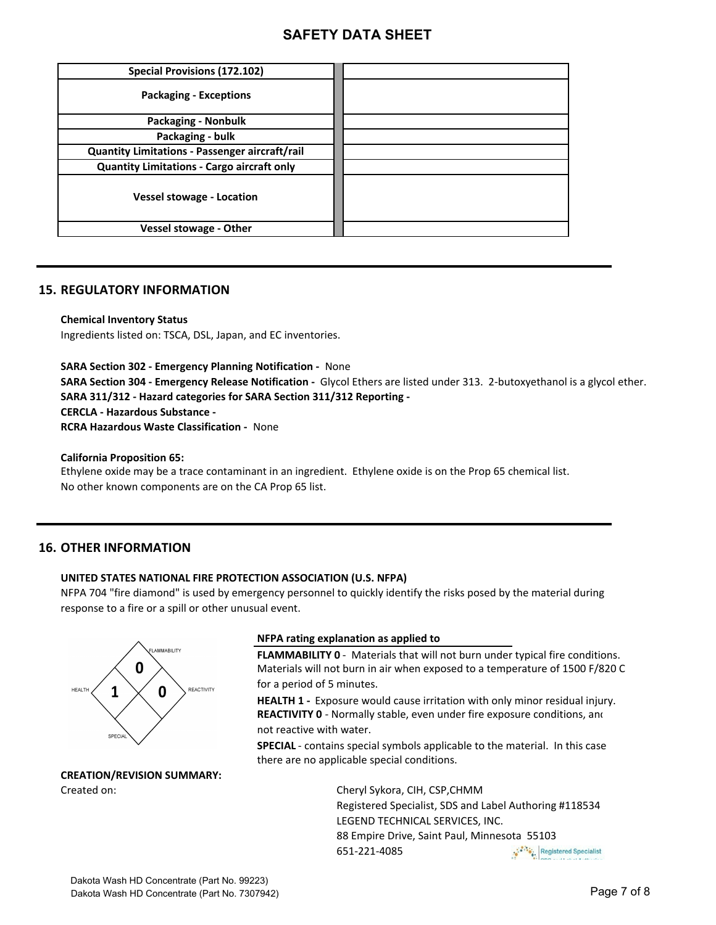| <b>Special Provisions (172.102)</b>                   |  |
|-------------------------------------------------------|--|
| <b>Packaging - Exceptions</b>                         |  |
| <b>Packaging - Nonbulk</b>                            |  |
| Packaging - bulk                                      |  |
| <b>Quantity Limitations - Passenger aircraft/rail</b> |  |
| <b>Quantity Limitations - Cargo aircraft only</b>     |  |
| <b>Vessel stowage - Location</b>                      |  |
| <b>Vessel stowage - Other</b>                         |  |

#### **15. REGULATORY INFORMATION**

**Chemical Inventory Status** 

Ingredients listed on: TSCA, DSL, Japan, and EC inventories.

**SARA Section 302 - Emergency Planning Notification - None SARA Section 304 - Emergency Release Notification -** Glycol Ethers are listed under 313. 2-butoxyethanol is a glycol ether. SARA 311/312 - Hazard categories for SARA Section 311/312 Reporting -**CERCLA - Hazardous Substance -RCRA Hazardous Waste Classification - None** 

**California Proposition 65:** 

Ethylene oxide may be a trace contaminant in an ingredient. Ethylene oxide is on the Prop 65 chemical list. No other known components are on the CA Prop 65 list.

#### **16. OTHER INFORMATION**

#### **UNITED STATES NATIONAL FIRE PROTECTION ASSOCIATION (U.S. NFPA)**

NFPA 704 "fire diamond" is used by emergency personnel to quickly identify the risks posed by the material during response to a fire or a spill or other unusual event.



## **CREATION/REVISION SUMMARY:**

#### **NFPA** rating explanation as applied to

FLAMMABILITY 0 - Materials that will not burn under typical fire conditions. Materials will not burn in air when exposed to a temperature of 1500 F/820 C for a period of 5 minutes.

**HEALTH 1** - Exposure would cause irritation with only minor residual injury. not reactive with water. REACTIVITY 0 - Normally stable, even under fire exposure conditions, and

**SPECIAL** - contains special symbols applicable to the material. In this case there are no applicable special conditions.

Created on: Created on: Cheryl Sykora, CIH, CSP, CHMM Registered Specialist, SDS and Label Authoring #118534 LEGEND TECHNICAL SERVICES, INC. 88 Empire Drive, Saint Paul, Minnesota 55103 651-221-4085 Registered Specialist